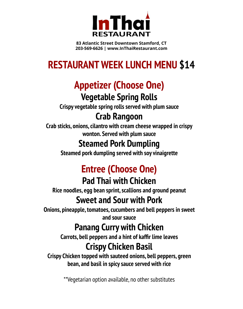

**83 Atlantic Street Downtown Stamford, CT 203-569-6626 | www.InThaiRestaurant.com**

## **RESTAURANT WEEK LUNCH MENU \$14**

# **Appetizer (Choose One)**

### **Vegetable Spring Rolls**

**Crispy vegetable spring rolls served with plum sauce**

## **Crab Rangoon**

**Crab sticks, onions, cilantro with cream cheese wrapped in crispy wonton. Served with plum sauce**

## **Steamed Pork Dumpling**

**Steamed pork dumpling served with soy vinaigrette**

# **Entree (Choose One)**

## **Pad Thai with Chicken**

**Rice noodles, egg bean sprint, scallions and ground peanut**

## **Sweet and Sour with Pork**

**Onions, pineapple, tomatoes, cucumbers and bell peppers in sweet and sour sauce**

## **Panang Curry with Chicken**

**Carrots, bell peppers and a hint of kaffir lime leaves**

## **Crispy Chicken Basil**

**Crispy Chicken topped with sauteed onions, bell peppers, green bean, and basil in spicy sauce served with rice**

\*\*Vegetarian option available, no other substitutes